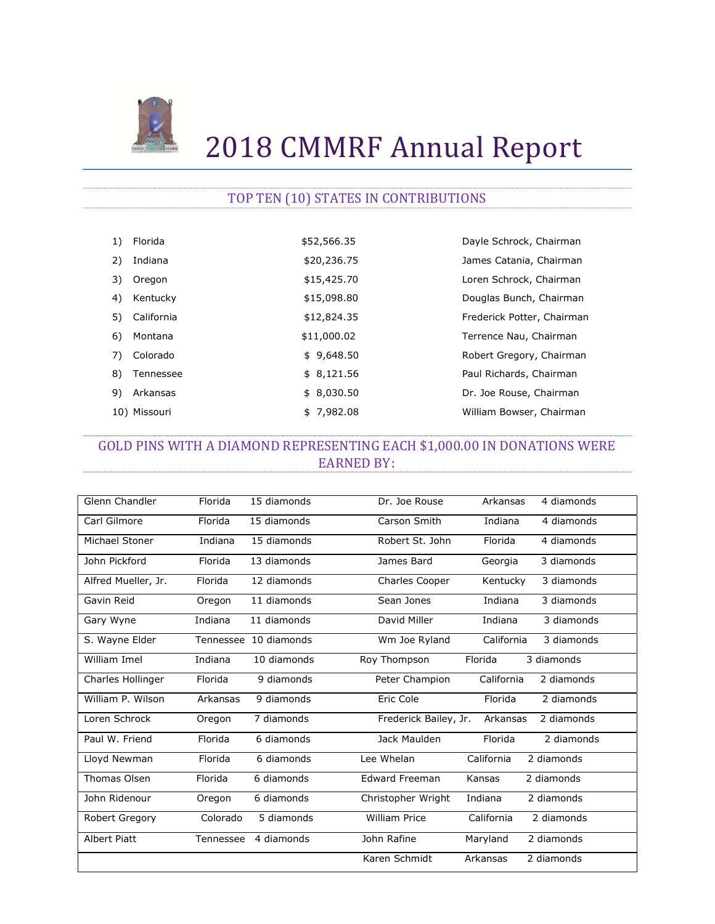

# 2018 CMMRF Annual Report

#### TOP TEN (10) STATES IN CONTRIBUTIONS

| 1) | Florida      | \$52,566.35 | Dayle Schrock, Chairman    |
|----|--------------|-------------|----------------------------|
| 2) | Indiana      | \$20,236.75 | James Catania, Chairman    |
| 3) | Oregon       | \$15,425.70 | Loren Schrock, Chairman    |
| 4) | Kentucky     | \$15,098.80 | Douglas Bunch, Chairman    |
| 5) | California   | \$12,824.35 | Frederick Potter, Chairman |
| 6) | Montana      | \$11,000.02 | Terrence Nau, Chairman     |
| 7) | Colorado     | \$9,648.50  | Robert Gregory, Chairman   |
| 8) | Tennessee    | \$8,121.56  | Paul Richards, Chairman    |
| 9) | Arkansas     | \$8,030.50  | Dr. Joe Rouse, Chairman    |
|    | 10) Missouri | \$7,982.08  | William Bowser, Chairman   |

# GOLD PINS WITH A DIAMOND REPRESENTING EACH \$1,000.00 IN DONATIONS WERE EARNED BY:

| Glenn Chandler      | Florida   | 15 diamonds           | Dr. Joe Rouse         | Arkansas   | 4 diamonds |
|---------------------|-----------|-----------------------|-----------------------|------------|------------|
| Carl Gilmore        | Florida   | 15 diamonds           | Carson Smith          | Indiana    | 4 diamonds |
| Michael Stoner      | Indiana   | 15 diamonds           | Robert St. John       | Florida    | 4 diamonds |
| John Pickford       | Florida   | 13 diamonds           | James Bard            | Georgia    | 3 diamonds |
| Alfred Mueller, Jr. | Florida   | 12 diamonds           | Charles Cooper        | Kentucky   | 3 diamonds |
| Gavin Reid          | Oregon    | 11 diamonds           | Sean Jones            | Indiana    | 3 diamonds |
| Gary Wyne           | Indiana   | 11 diamonds           | David Miller          | Indiana    | 3 diamonds |
| S. Wayne Elder      |           | Tennessee 10 diamonds | Wm Joe Ryland         | California | 3 diamonds |
| William Imel        | Indiana   | 10 diamonds           | Roy Thompson          | Florida    | 3 diamonds |
| Charles Hollinger   | Florida   | 9 diamonds            | Peter Champion        | California | 2 diamonds |
| William P. Wilson   | Arkansas  | 9 diamonds            | Eric Cole             | Florida    | 2 diamonds |
| Loren Schrock       | Oregon    | 7 diamonds            | Frederick Bailey, Jr. | Arkansas   | 2 diamonds |
| Paul W. Friend      | Florida   | 6 diamonds            | Jack Maulden          | Florida    | 2 diamonds |
| Lloyd Newman        | Florida   | 6 diamonds            | Lee Whelan            | California | 2 diamonds |
| Thomas Olsen        | Florida   | 6 diamonds            | <b>Edward Freeman</b> | Kansas     | 2 diamonds |
| John Ridenour       | Oregon    | 6 diamonds            | Christopher Wright    | Indiana    | 2 diamonds |
| Robert Gregory      | Colorado  | 5 diamonds            | <b>William Price</b>  | California | 2 diamonds |
| <b>Albert Piatt</b> | Tennessee | 4 diamonds            | John Rafine           | Maryland   | 2 diamonds |
|                     |           |                       | Karen Schmidt         | Arkansas   | 2 diamonds |
|                     |           |                       |                       |            |            |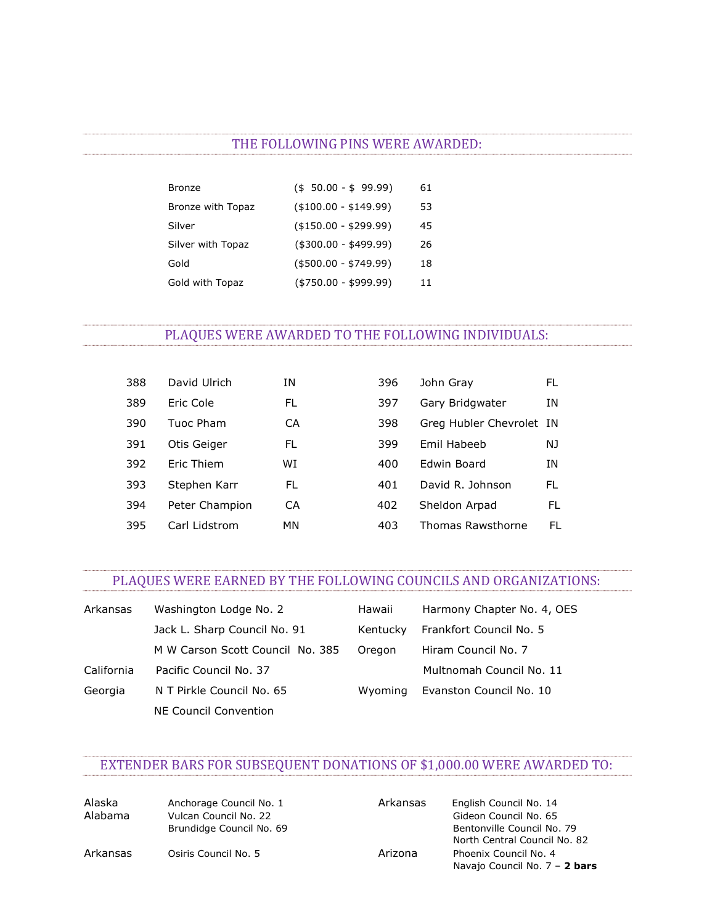#### THE FOLLOWING PINS WERE AWARDED:

| Bronze            | $($ \$ 50.00 - \$ 99.99) | 61 |
|-------------------|--------------------------|----|
| Bronze with Topaz | $($ \$100.00 - \$149.99) | 53 |
| Silver            | $($ \$150.00 - \$299.99) | 45 |
| Silver with Topaz | $($300.00 - $499.99)$    | 26 |
| Gold              | $($ \$500.00 - \$749.99) | 18 |
| Gold with Topaz   | $( $750.00 - $999.99)$   | 11 |

#### PLAQUES WERE AWARDED TO THE FOLLOWING INDIVIDUALS:

| 388 | David Ulrich   | ΙN | 396 | John Gray                | FL  |
|-----|----------------|----|-----|--------------------------|-----|
| 389 | Eric Cole      | FL | 397 | Gary Bridgwater          | ΙN  |
| 390 | Tuoc Pham      | СA | 398 | Greg Hubler Chevrolet IN |     |
| 391 | Otis Geiger    | FL | 399 | Emil Habeeb              | NJ. |
| 392 | Eric Thiem     | WI | 400 | Edwin Board              | ΙN  |
| 393 | Stephen Karr   | FL | 401 | David R. Johnson         | FL  |
| 394 | Peter Champion | СA | 402 | Sheldon Arpad            | FL  |
| 395 | Carl Lidstrom  | MN | 403 | Thomas Rawsthorne        | FL. |

# PLAQUES WERE EARNED BY THE FOLLOWING COUNCILS AND ORGANIZATIONS:

| Arkansas   | Washington Lodge No. 2           | Hawaii   | Harmony Chapter No. 4, OES |
|------------|----------------------------------|----------|----------------------------|
|            | Jack L. Sharp Council No. 91     | Kentucky | Frankfort Council No. 5    |
|            | M W Carson Scott Council No. 385 | Oregon   | Hiram Council No. 7        |
| California | Pacific Council No. 37           |          | Multnomah Council No. 11   |
| Georgia    | N T Pirkle Council No. 65        | Wyoming  | Evanston Council No. 10    |
|            | NE Council Convention            |          |                            |

# EXTENDER BARS FOR SUBSEQUENT DONATIONS OF \$1,000.00 WERE AWARDED TO:

| Alaska   | Anchorage Council No. 1  | Arkansas | English Council No. 14        |
|----------|--------------------------|----------|-------------------------------|
| Alabama  | Vulcan Council No. 22    |          | Gideon Council No. 65         |
|          | Brundidge Council No. 69 |          | Bentonville Council No. 79    |
|          |                          |          | North Central Council No. 82  |
| Arkansas | Osiris Council No. 5     | Arizona  | Phoenix Council No. 4         |
|          |                          |          | Navajo Council No. 7 - 2 bars |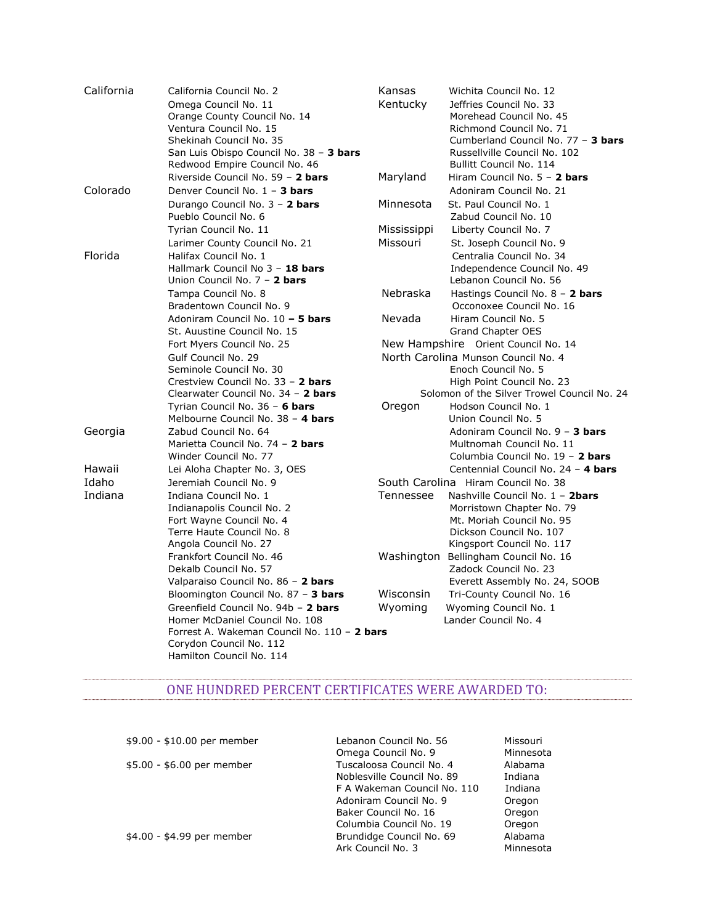| California | California Council No. 2                    | Kansas      | Wichita Council No. 12                      |
|------------|---------------------------------------------|-------------|---------------------------------------------|
|            | Omega Council No. 11                        | Kentucky    | Jeffries Council No. 33                     |
|            | Orange County Council No. 14                |             | Morehead Council No. 45                     |
|            | Ventura Council No. 15                      |             | Richmond Council No. 71                     |
|            | Shekinah Council No. 35                     |             | Cumberland Council No. 77 - 3 bars          |
|            | San Luis Obispo Council No. 38 - 3 bars     |             | Russellville Council No. 102                |
|            | Redwood Empire Council No. 46               |             | Bullitt Council No. 114                     |
|            | Riverside Council No. 59 - 2 bars           | Maryland    | Hiram Council No. 5 - 2 bars                |
| Colorado   | Denver Council No. 1 - 3 bars               |             | Adoniram Council No. 21                     |
|            | Durango Council No. 3 - 2 bars              | Minnesota   | St. Paul Council No. 1                      |
|            | Pueblo Council No. 6                        |             | Zabud Council No. 10                        |
|            | Tyrian Council No. 11                       | Mississippi | Liberty Council No. 7                       |
|            | Larimer County Council No. 21               | Missouri    | St. Joseph Council No. 9                    |
| Florida    | Halifax Council No. 1                       |             | Centralia Council No. 34                    |
|            | Hallmark Council No 3 - 18 bars             |             | Independence Council No. 49                 |
|            | Union Council No. 7 - 2 bars                |             | Lebanon Council No. 56                      |
|            | Tampa Council No. 8                         | Nebraska    | Hastings Council No. 8 - 2 bars             |
|            | Bradentown Council No. 9                    |             | Occonoxee Council No. 16                    |
|            | Adoniram Council No. 10 - 5 bars            | Nevada      | Hiram Council No. 5                         |
|            | St. Auustine Council No. 15                 |             | Grand Chapter OES                           |
|            | Fort Myers Council No. 25                   |             | New Hampshire Orient Council No. 14         |
|            | Gulf Council No. 29                         |             | North Carolina Munson Council No. 4         |
|            | Seminole Council No. 30                     |             | Enoch Council No. 5                         |
|            | Crestview Council No. 33 - 2 bars           |             | High Point Council No. 23                   |
|            | Clearwater Council No. 34 - 2 bars          |             | Solomon of the Silver Trowel Council No. 24 |
|            | Tyrian Council No. 36 - 6 bars              | Oregon      | Hodson Council No. 1                        |
|            | Melbourne Council No. 38 - 4 bars           |             | Union Council No. 5                         |
| Georgia    | Zabud Council No. 64                        |             | Adoniram Council No. 9 - 3 bars             |
|            | Marietta Council No. 74 - 2 bars            |             | Multnomah Council No. 11                    |
|            | Winder Council No. 77                       |             | Columbia Council No. 19 - 2 bars            |
| Hawaii     | Lei Aloha Chapter No. 3, OES                |             | Centennial Council No. 24 - 4 bars          |
| Idaho      | Jeremiah Council No. 9                      |             | South Carolina Hiram Council No. 38         |
| Indiana    | Indiana Council No. 1                       | Tennessee   | Nashville Council No. 1 - 2bars             |
|            | Indianapolis Council No. 2                  |             | Morristown Chapter No. 79                   |
|            | Fort Wayne Council No. 4                    |             | Mt. Moriah Council No. 95                   |
|            | Terre Haute Council No. 8                   |             | Dickson Council No. 107                     |
|            | Angola Council No. 27                       |             | Kingsport Council No. 117                   |
|            | Frankfort Council No. 46                    | Washington  | Bellingham Council No. 16                   |
|            | Dekalb Council No. 57                       |             | Zadock Council No. 23                       |
|            | Valparaiso Council No. 86 - 2 bars          |             | Everett Assembly No. 24, SOOB               |
|            | Bloomington Council No. 87 - 3 bars         | Wisconsin   | Tri-County Council No. 16                   |
|            | Greenfield Council No. 94b - 2 bars         | Wyoming     | Wyoming Council No. 1                       |
|            | Homer McDaniel Council No. 108              |             | Lander Council No. 4                        |
|            | Forrest A. Wakeman Council No. 110 - 2 bars |             |                                             |
|            | Corydon Council No. 112                     |             |                                             |
|            | Hamilton Council No. 114                    |             |                                             |

#### ONE HUNDRED PERCENT CERTIFICATES WERE AWARDED TO:

| \$9.00 - \$10.00 per member | Lebanon Council No. 56      | Missouri  |
|-----------------------------|-----------------------------|-----------|
|                             | Omega Council No. 9         | Minnesota |
| \$5.00 - \$6.00 per member  | Tuscaloosa Council No. 4    | Alabama   |
|                             | Noblesville Council No. 89  | Indiana   |
|                             | F A Wakeman Council No. 110 | Indiana   |
|                             | Adoniram Council No. 9      | Oregon    |
|                             | Baker Council No. 16        | Oregon    |
|                             | Columbia Council No. 19     | Oregon    |
| \$4.00 - \$4.99 per member  | Brundidge Council No. 69    | Alabama   |
|                             | Ark Council No. 3           | Minnesota |